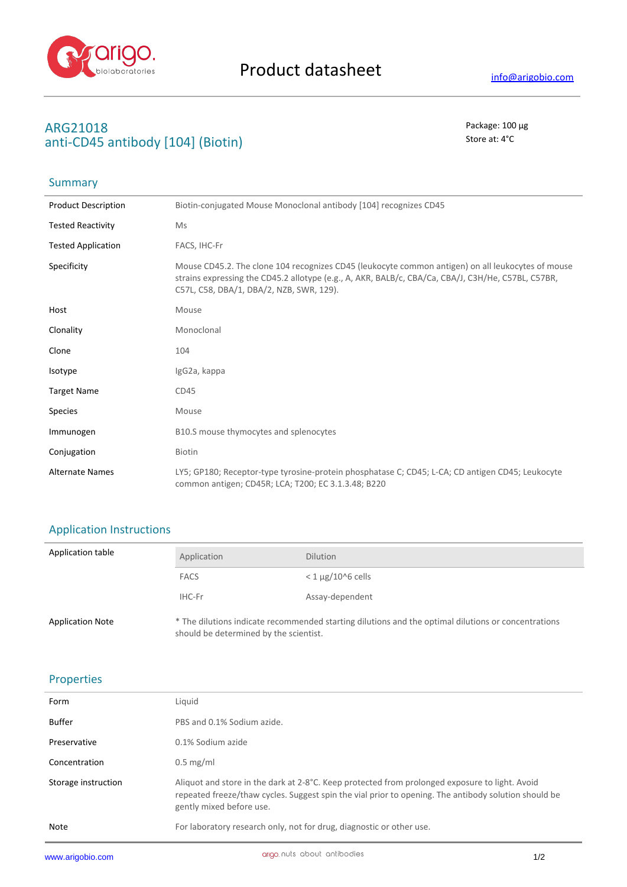

## **ARG21018** Package: 100 μg **anti-CD45 antibody [104] (Biotin)** Store at: 4°C

## Summary

| <b>Product Description</b> | Biotin-conjugated Mouse Monoclonal antibody [104] recognizes CD45                                                                                                                                                                                   |
|----------------------------|-----------------------------------------------------------------------------------------------------------------------------------------------------------------------------------------------------------------------------------------------------|
| <b>Tested Reactivity</b>   | Ms                                                                                                                                                                                                                                                  |
| <b>Tested Application</b>  | FACS, IHC-Fr                                                                                                                                                                                                                                        |
| Specificity                | Mouse CD45.2. The clone 104 recognizes CD45 (leukocyte common antigen) on all leukocytes of mouse<br>strains expressing the CD45.2 allotype (e.g., A, AKR, BALB/c, CBA/Ca, CBA/J, C3H/He, C57BL, C57BR,<br>C57L, C58, DBA/1, DBA/2, NZB, SWR, 129). |
| Host                       | Mouse                                                                                                                                                                                                                                               |
| Clonality                  | Monoclonal                                                                                                                                                                                                                                          |
| Clone                      | 104                                                                                                                                                                                                                                                 |
| Isotype                    | IgG2a, kappa                                                                                                                                                                                                                                        |
| <b>Target Name</b>         | CD45                                                                                                                                                                                                                                                |
| <b>Species</b>             | Mouse                                                                                                                                                                                                                                               |
| Immunogen                  | B10.S mouse thymocytes and splenocytes                                                                                                                                                                                                              |
| Conjugation                | <b>Biotin</b>                                                                                                                                                                                                                                       |
| <b>Alternate Names</b>     | LY5; GP180; Receptor-type tyrosine-protein phosphatase C; CD45; L-CA; CD antigen CD45; Leukocyte<br>common antigen; CD45R; LCA; T200; EC 3.1.3.48; B220                                                                                             |

### Application Instructions

| Application table       | Application                                                                                                                                   | <b>Dilution</b>          |
|-------------------------|-----------------------------------------------------------------------------------------------------------------------------------------------|--------------------------|
|                         | <b>FACS</b>                                                                                                                                   | $<$ 1 $\mu$ g/10^6 cells |
|                         | IHC-Fr                                                                                                                                        | Assay-dependent          |
| <b>Application Note</b> | * The dilutions indicate recommended starting dilutions and the optimal dilutions or concentrations<br>should be determined by the scientist. |                          |

### Properties

| www.arigobio.com    | ariao nuts about antibodies                                                                                                                                                                                                        | 1/2 |
|---------------------|------------------------------------------------------------------------------------------------------------------------------------------------------------------------------------------------------------------------------------|-----|
| Note                | For laboratory research only, not for drug, diagnostic or other use.                                                                                                                                                               |     |
| Storage instruction | Aliquot and store in the dark at 2-8°C. Keep protected from prolonged exposure to light. Avoid<br>repeated freeze/thaw cycles. Suggest spin the vial prior to opening. The antibody solution should be<br>gently mixed before use. |     |
| Concentration       | $0.5$ mg/ml                                                                                                                                                                                                                        |     |
| Preservative        | 0.1% Sodium azide                                                                                                                                                                                                                  |     |
| <b>Buffer</b>       | PBS and 0.1% Sodium azide.                                                                                                                                                                                                         |     |
| Form                | Liguid                                                                                                                                                                                                                             |     |